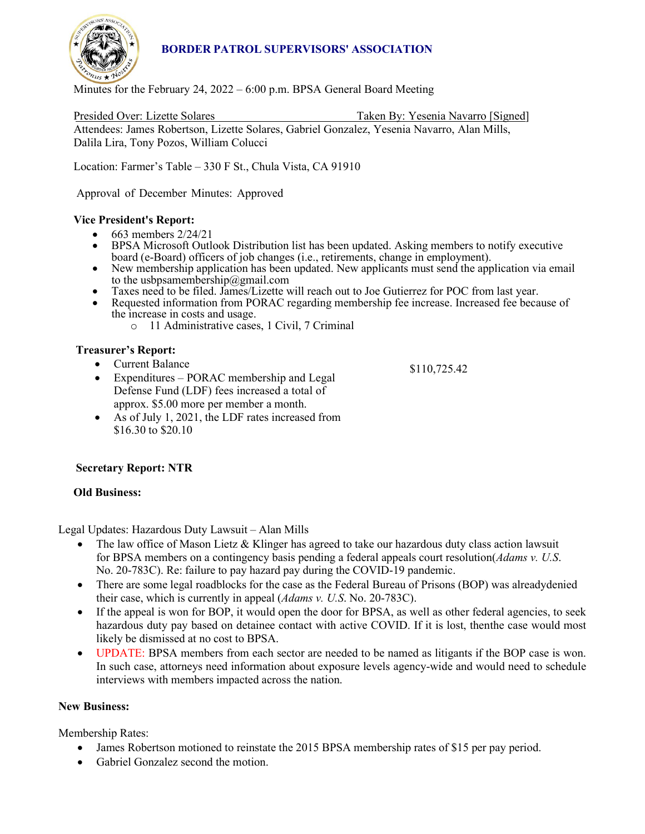

# **BORDER PATROL SUPERVISORS' ASSOCIATION**

Minutes for the February 24, 2022 – 6:00 p.m. BPSA General Board Meeting

Presided Over: Lizette Solares Taken By: Yesenia Navarro [Signed] Attendees: James Robertson, Lizette Solares, Gabriel Gonzalez, Yesenia Navarro, Alan Mills, Dalila Lira, Tony Pozos, William Colucci

Location: Farmer's Table – 330 F St., Chula Vista, CA 91910

Approval of December Minutes: Approved

### **Vice President's Report:**

- 
- 663 members 2/24/21<br>• BPSA Microsoft Outlook Distribution list has been updated. Asking members to notify executive board (e-Board) officers of job changes (i.e., retirements, change in employment).
- New membership application has been updated. New applicants must send the application via email to the usbpsamembership  $@g$  mail.com
- Taxes need to be filed. James/Lizette will reach out to Joe Gutierrez for POC from last year. Requested information from PORAC regarding membership fee increase. Increased fee because of
- the increase in costs and usage.
	- o 11 Administrative cases, 1 Civil, 7 Criminal

### **Treasurer's Report:**

- Current Balance
- Expenditures PORAC membership and Legal Defense Fund (LDF) fees increased a total of approx. \$5.00 more per member a month.
- As of July 1, 2021, the LDF rates increased from \$16.30 to \$20.10

## **Secretary Report: NTR**

### **Old Business:**

Legal Updates: Hazardous Duty Lawsuit – Alan Mills

- The law office of Mason Lietz & Klinger has agreed to take our hazardous duty class action lawsuit for BPSA members on a contingency basis pending a federal appeals court resolution(*Adams v. U.S*. No. 20-783C). Re: failure to pay hazard pay during the COVID-19 pandemic.
- There are some legal roadblocks for the case as the Federal Bureau of Prisons (BOP) was alreadydenied their case, which is currently in appeal (*Adams v. U.S*. No. 20-783C).
- If the appeal is won for BOP, it would open the door for BPSA, as well as other federal agencies, to seek hazardous duty pay based on detainee contact with active COVID. If it is lost, thenthe case would most likely be dismissed at no cost to BPSA.
- UPDATE: BPSA members from each sector are needed to be named as litigants if the BOP case is won. In such case, attorneys need information about exposure levels agency-wide and would need to schedule interviews with members impacted across the nation.

### **New Business:**

Membership Rates:

- James Robertson motioned to reinstate the 2015 BPSA membership rates of \$15 per pay period.
- Gabriel Gonzalez second the motion.

\$110,725.42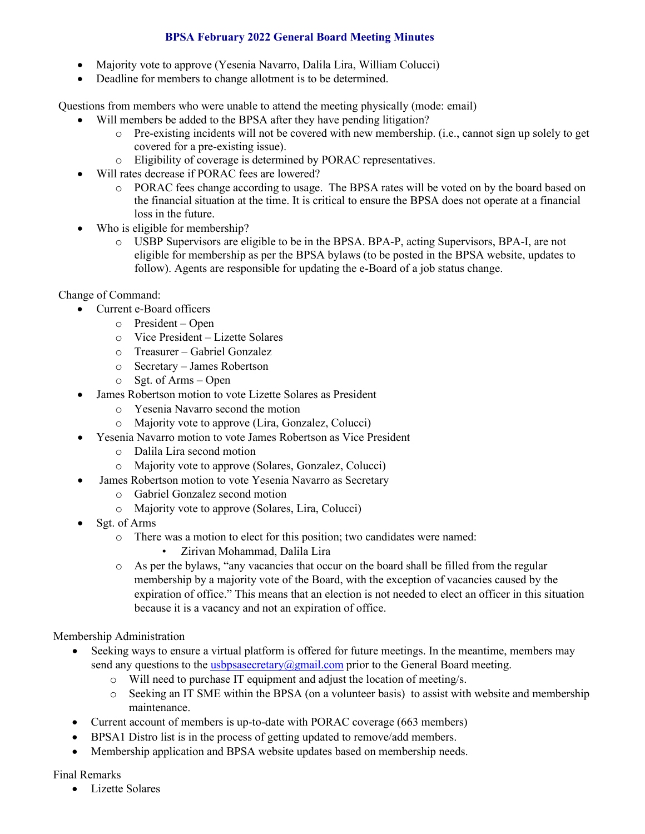## **BPSA February 2022 General Board Meeting Minutes**

- Majority vote to approve (Yesenia Navarro, Dalila Lira, William Colucci)
- Deadline for members to change allotment is to be determined.

Questions from members who were unable to attend the meeting physically (mode: email)

- Will members be added to the BPSA after they have pending litigation?
	- o Pre-existing incidents will not be covered with new membership. (i.e., cannot sign up solely to get covered for a pre-existing issue).
	- o Eligibility of coverage is determined by PORAC representatives.
- Will rates decrease if PORAC fees are lowered?
	- o PORAC fees change according to usage. The BPSA rates will be voted on by the board based on the financial situation at the time. It is critical to ensure the BPSA does not operate at a financial loss in the future.
- Who is eligible for membership?
	- o USBP Supervisors are eligible to be in the BPSA. BPA-P, acting Supervisors, BPA-I, are not eligible for membership as per the BPSA bylaws (to be posted in the BPSA website, updates to follow). Agents are responsible for updating the e-Board of a job status change.

### Change of Command:

- Current e-Board officers
	- o President Open
	- o Vice President Lizette Solares
	- o Treasurer Gabriel Gonzalez
	- o Secretary James Robertson
	- o Sgt. of Arms Open
- James Robertson motion to vote Lizette Solares as President
	- o Yesenia Navarro second the motion
	- o Majority vote to approve (Lira, Gonzalez, Colucci)
- Yesenia Navarro motion to vote James Robertson as Vice President
	- o Dalila Lira second motion
	- o Majority vote to approve (Solares, Gonzalez, Colucci)
	- James Robertson motion to vote Yesenia Navarro as Secretary
		- o Gabriel Gonzalez second motion
		- o Majority vote to approve (Solares, Lira, Colucci)
- Sgt. of Arms
	- o There was a motion to elect for this position; two candidates were named:
		- Zirivan Mohammad, Dalila Lira
	- o As per the bylaws, "any vacancies that occur on the board shall be filled from the regular membership by a majority vote of the Board, with the exception of vacancies caused by the expiration of office." This means that an election is not needed to elect an officer in this situation because it is a vacancy and not an expiration of office.

Membership Administration

- Seeking ways to ensure a virtual platform is offered for future meetings. In the meantime, members may send any questions to th[e usbpsasecretary@gmail.com](mailto:usbpsasecretary@gmail.com) prior to the General Board meeting.
	- o Will need to purchase IT equipment and adjust the location of meeting/s.
	- o Seeking an IT SME within the BPSA (on a volunteer basis) to assist with website and membership maintenance.
- Current account of members is up-to-date with PORAC coverage (663 members)
- BPSA1 Distro list is in the process of getting updated to remove/add members.
- Membership application and BPSA website updates based on membership needs.

### Final Remarks

• Lizette Solares